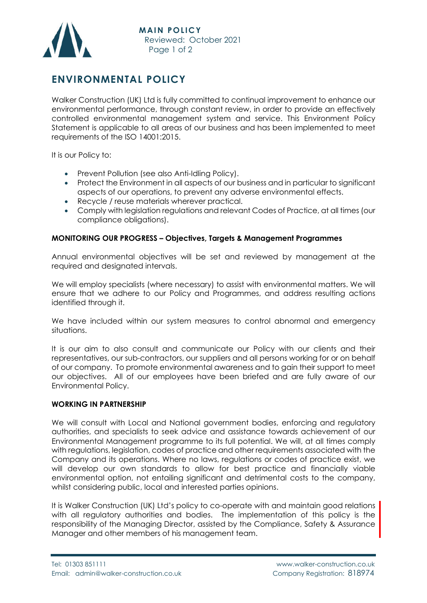

## **ENVIRONMENTAL POLICY**

Walker Construction (UK) Ltd is fully committed to continual improvement to enhance our environmental performance, through constant review, in order to provide an effectively controlled environmental management system and service. This Environment Policy Statement is applicable to all areas of our business and has been implemented to meet requirements of the ISO 14001:2015.

It is our Policy to:

- Prevent Pollution (see also Anti-Idling Policy).
- Protect the Environment in all aspects of our business and in particular to significant aspects of our operations, to prevent any adverse environmental effects.
- Recycle / reuse materials wherever practical.
- Comply with legislation regulations and relevant Codes of Practice, at all times (our compliance obligations).

## **MONITORING OUR PROGRESS – Objectives, Targets & Management Programmes**

Annual environmental objectives will be set and reviewed by management at the required and designated intervals.

We will employ specialists (where necessary) to assist with environmental matters. We will ensure that we adhere to our Policy and Programmes, and address resulting actions identified through it.

We have included within our system measures to control abnormal and emergency situations.

It is our aim to also consult and communicate our Policy with our clients and their representatives, our sub-contractors, our suppliers and all persons working for or on behalf of our company. To promote environmental awareness and to gain their support to meet our objectives. All of our employees have been briefed and are fully aware of our Environmental Policy.

## **WORKING IN PARTNERSHIP**

We will consult with Local and National government bodies, enforcing and regulatory authorities, and specialists to seek advice and assistance towards achievement of our Environmental Management programme to its full potential. We will, at all times comply with regulations, legislation, codes of practice and other requirements associated with the Company and its operations. Where no laws, regulations or codes of practice exist, we will develop our own standards to allow for best practice and financially viable environmental option, not entailing significant and detrimental costs to the company, whilst considering public, local and interested parties opinions.

It is Walker Construction (UK) Ltd's policy to co-operate with and maintain good relations with all regulatory authorities and bodies. The implementation of this policy is the responsibility of the Managing Director, assisted by the Compliance, Safety & Assurance Manager and other members of his management team.